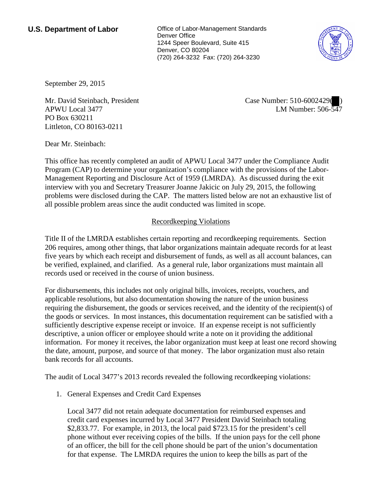**U.S. Department of Labor Conservative Conservative Conservative U.S. Department of Labor** Denver Office 1244 Speer Boulevard, Suite 415 Denver, CO 80204 (720) 264-3232 Fax: (720) 264-3230



September 29, 2015

Mr. David Steinbach, President APWU Local 3477 PO Box 630211 Littleton, CO 80163-0211

Case Number: 510-6002429( ) LM Number: 506-547

Dear Mr. Steinbach:

This office has recently completed an audit of APWU Local 3477 under the Compliance Audit Program (CAP) to determine your organization's compliance with the provisions of the Labor-Management Reporting and Disclosure Act of 1959 (LMRDA). As discussed during the exit interview with you and Secretary Treasurer Joanne Jakicic on July 29, 2015, the following problems were disclosed during the CAP. The matters listed below are not an exhaustive list of all possible problem areas since the audit conducted was limited in scope.

## Recordkeeping Violations

Title II of the LMRDA establishes certain reporting and recordkeeping requirements. Section 206 requires, among other things, that labor organizations maintain adequate records for at least five years by which each receipt and disbursement of funds, as well as all account balances, can be verified, explained, and clarified. As a general rule, labor organizations must maintain all records used or received in the course of union business.

For disbursements, this includes not only original bills, invoices, receipts, vouchers, and applicable resolutions, but also documentation showing the nature of the union business requiring the disbursement, the goods or services received, and the identity of the recipient(s) of the goods or services. In most instances, this documentation requirement can be satisfied with a sufficiently descriptive expense receipt or invoice. If an expense receipt is not sufficiently descriptive, a union officer or employee should write a note on it providing the additional information. For money it receives, the labor organization must keep at least one record showing the date, amount, purpose, and source of that money. The labor organization must also retain bank records for all accounts.

The audit of Local 3477's 2013 records revealed the following recordkeeping violations:

1. General Expenses and Credit Card Expenses

Local 3477 did not retain adequate documentation for reimbursed expenses and credit card expenses incurred by Local 3477 President David Steinbach totaling \$2,833.77. For example, in 2013, the local paid \$723.15 for the president's cell phone without ever receiving copies of the bills. If the union pays for the cell phone of an officer, the bill for the cell phone should be part of the union's documentation for that expense. The LMRDA requires the union to keep the bills as part of the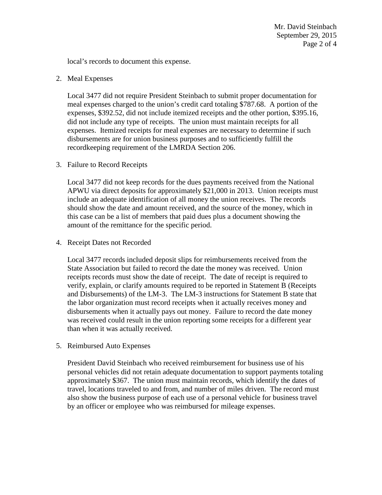Mr. David Steinbach September 29, 2015 Page 2 of 4

local's records to document this expense.

2. Meal Expenses

Local 3477 did not require President Steinbach to submit proper documentation for meal expenses charged to the union's credit card totaling \$787.68. A portion of the expenses, \$392.52, did not include itemized receipts and the other portion, \$395.16, did not include any type of receipts. The union must maintain receipts for all expenses. Itemized receipts for meal expenses are necessary to determine if such disbursements are for union business purposes and to sufficiently fulfill the recordkeeping requirement of the LMRDA Section 206.

3. Failure to Record Receipts

Local 3477 did not keep records for the dues payments received from the National APWU via direct deposits for approximately \$21,000 in 2013. Union receipts must include an adequate identification of all money the union receives. The records should show the date and amount received, and the source of the money, which in this case can be a list of members that paid dues plus a document showing the amount of the remittance for the specific period.

4. Receipt Dates not Recorded

Local 3477 records included deposit slips for reimbursements received from the State Association but failed to record the date the money was received. Union receipts records must show the date of receipt. The date of receipt is required to verify, explain, or clarify amounts required to be reported in Statement B (Receipts and Disbursements) of the LM-3. The LM-3 instructions for Statement B state that the labor organization must record receipts when it actually receives money and disbursements when it actually pays out money. Failure to record the date money was received could result in the union reporting some receipts for a different year than when it was actually received.

5. Reimbursed Auto Expenses

President David Steinbach who received reimbursement for business use of his personal vehicles did not retain adequate documentation to support payments totaling approximately \$367. The union must maintain records, which identify the dates of travel, locations traveled to and from, and number of miles driven. The record must also show the business purpose of each use of a personal vehicle for business travel by an officer or employee who was reimbursed for mileage expenses.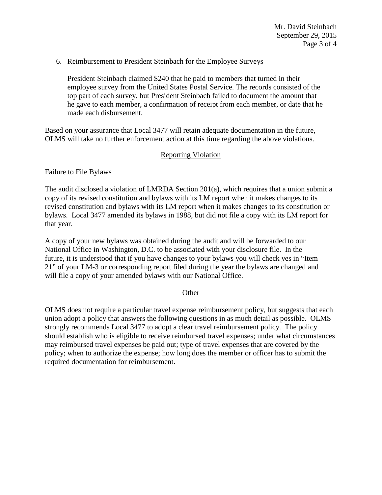6. Reimbursement to President Steinbach for the Employee Surveys

President Steinbach claimed \$240 that he paid to members that turned in their employee survey from the United States Postal Service. The records consisted of the top part of each survey, but President Steinbach failed to document the amount that he gave to each member, a confirmation of receipt from each member, or date that he made each disbursement.

Based on your assurance that Local 3477 will retain adequate documentation in the future, OLMS will take no further enforcement action at this time regarding the above violations.

## Reporting Violation

Failure to File Bylaws

The audit disclosed a violation of LMRDA Section 201(a), which requires that a union submit a copy of its revised constitution and bylaws with its LM report when it makes changes to its revised constitution and bylaws with its LM report when it makes changes to its constitution or bylaws. Local 3477 amended its bylaws in 1988, but did not file a copy with its LM report for that year.

A copy of your new bylaws was obtained during the audit and will be forwarded to our National Office in Washington, D.C. to be associated with your disclosure file. In the future, it is understood that if you have changes to your bylaws you will check yes in "Item 21" of your LM-3 or corresponding report filed during the year the bylaws are changed and will file a copy of your amended bylaws with our National Office.

## **Other**

OLMS does not require a particular travel expense reimbursement policy, but suggests that each union adopt a policy that answers the following questions in as much detail as possible. OLMS strongly recommends Local 3477 to adopt a clear travel reimbursement policy. The policy should establish who is eligible to receive reimbursed travel expenses; under what circumstances may reimbursed travel expenses be paid out; type of travel expenses that are covered by the policy; when to authorize the expense; how long does the member or officer has to submit the required documentation for reimbursement.